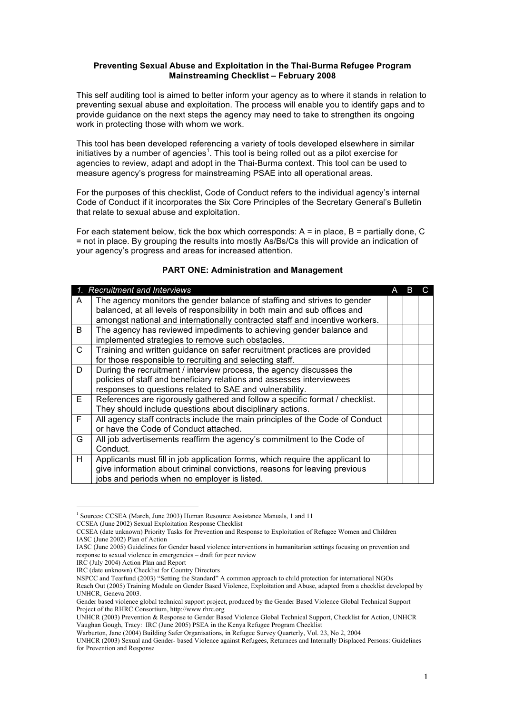## **Preventing Sexual Abuse and Exploitation in the Thai-Burma Refugee Program Mainstreaming Checklist – February 2008**

This self auditing tool is aimed to better inform your agency as to where it stands in relation to preventing sexual abuse and exploitation. The process will enable you to identify gaps and to provide guidance on the next steps the agency may need to take to strengthen its ongoing work in protecting those with whom we work.

This tool has been developed referencing a variety of tools developed elsewhere in similar initiatives by a number of agencies<sup>1</sup>. This tool is being rolled out as a pilot exercise for agencies to review, adapt and adopt in the Thai-Burma context. This tool can be used to measure agency's progress for mainstreaming PSAE into all operational areas.

For the purposes of this checklist, Code of Conduct refers to the individual agency's internal Code of Conduct if it incorporates the Six Core Principles of the Secretary General's Bulletin that relate to sexual abuse and exploitation.

For each statement below, tick the box which corresponds:  $A = in$  place,  $B =$  partially done, C = not in place. By grouping the results into mostly As/Bs/Cs this will provide an indication of your agency's progress and areas for increased attention.

|              | <b>Recruitment and Interviews</b>                                                                                                                                                                                                      | В |  |
|--------------|----------------------------------------------------------------------------------------------------------------------------------------------------------------------------------------------------------------------------------------|---|--|
| A            | The agency monitors the gender balance of staffing and strives to gender<br>balanced, at all levels of responsibility in both main and sub offices and<br>amongst national and internationally contracted staff and incentive workers. |   |  |
| B.           | The agency has reviewed impediments to achieving gender balance and<br>implemented strategies to remove such obstacles.                                                                                                                |   |  |
| $\mathsf{C}$ | Training and written guidance on safer recruitment practices are provided<br>for those responsible to recruiting and selecting staff.                                                                                                  |   |  |
| D            | During the recruitment / interview process, the agency discusses the<br>policies of staff and beneficiary relations and assesses interviewees<br>responses to questions related to SAE and vulnerability.                              |   |  |
| E.           | References are rigorously gathered and follow a specific format / checklist.<br>They should include questions about disciplinary actions.                                                                                              |   |  |
| F.           | All agency staff contracts include the main principles of the Code of Conduct<br>or have the Code of Conduct attached.                                                                                                                 |   |  |
| G            | All job advertisements reaffirm the agency's commitment to the Code of<br>Conduct.                                                                                                                                                     |   |  |
| H.           | Applicants must fill in job application forms, which require the applicant to<br>give information about criminal convictions, reasons for leaving previous<br>jobs and periods when no employer is listed.                             |   |  |

## **PART ONE: Administration and Management**

CCSEA (June 2002) Sexual Exploitation Response Checklist

 $\frac{1}{1}$ <sup>1</sup> Sources: CCSEA (March, June 2003) Human Resource Assistance Manuals, 1 and 11

CCSEA (date unknown) Priority Tasks for Prevention and Response to Exploitation of Refugee Women and Children IASC (June 2002) Plan of Action

IASC (June 2005) Guidelines for Gender based violence interventions in humanitarian settings focusing on prevention and response to sexual violence in emergencies – draft for peer review

IRC (July 2004) Action Plan and Report

IRC (date unknown) Checklist for Country Directors

NSPCC and Tearfund (2003) "Setting the Standard" A common approach to child protection for international NGOs Reach Out (2005) Training Module on Gender Based Violence, Exploitation and Abuse, adapted from a checklist developed by UNHCR, Geneva 2003.

Gender based violence global technical support project, produced by the Gender Based Violence Global Technical Support Project of the RHRC Consortium, http://www.rhrc.org

UNHCR (2003) Prevention & Response to Gender Based Violence Global Technical Support, Checklist for Action, UNHCR Vaughan Gough, Tracy: IRC (June 2005) PSEA in the Kenya Refugee Program Checklist

Warburton, Jane (2004) Building Safer Organisations, in Refugee Survey Quarterly, Vol. 23, No 2, 2004

UNHCR (2003) Sexual and Gender- based Violence against Refugees, Returnees and Internally Displaced Persons: Guidelines for Prevention and Response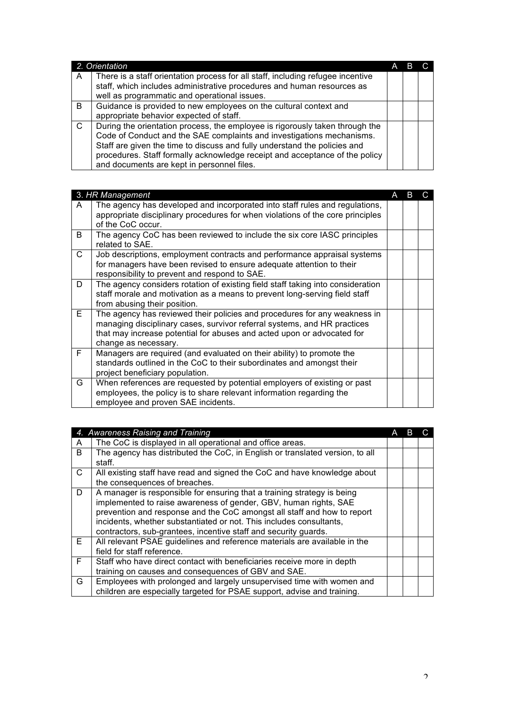|               | 2. Orientation                                                                                                                                                                                                                                                                                                                                                  |  |  |
|---------------|-----------------------------------------------------------------------------------------------------------------------------------------------------------------------------------------------------------------------------------------------------------------------------------------------------------------------------------------------------------------|--|--|
| A             | There is a staff orientation process for all staff, including refugee incentive<br>staff, which includes administrative procedures and human resources as<br>well as programmatic and operational issues.                                                                                                                                                       |  |  |
| B.            | Guidance is provided to new employees on the cultural context and<br>appropriate behavior expected of staff.                                                                                                                                                                                                                                                    |  |  |
| $\mathcal{C}$ | During the orientation process, the employee is rigorously taken through the<br>Code of Conduct and the SAE complaints and investigations mechanisms.<br>Staff are given the time to discuss and fully understand the policies and<br>procedures. Staff formally acknowledge receipt and acceptance of the policy<br>and documents are kept in personnel files. |  |  |

|    | 3. HR Management                                                                                                                                                                                                                                        | A |  |
|----|---------------------------------------------------------------------------------------------------------------------------------------------------------------------------------------------------------------------------------------------------------|---|--|
| A  | The agency has developed and incorporated into staff rules and regulations,<br>appropriate disciplinary procedures for when violations of the core principles<br>of the CoC occur.                                                                      |   |  |
| B. | The agency CoC has been reviewed to include the six core IASC principles<br>related to SAE.                                                                                                                                                             |   |  |
| C  | Job descriptions, employment contracts and performance appraisal systems<br>for managers have been revised to ensure adequate attention to their<br>responsibility to prevent and respond to SAE.                                                       |   |  |
| D  | The agency considers rotation of existing field staff taking into consideration<br>staff morale and motivation as a means to prevent long-serving field staff<br>from abusing their position.                                                           |   |  |
| E. | The agency has reviewed their policies and procedures for any weakness in<br>managing disciplinary cases, survivor referral systems, and HR practices<br>that may increase potential for abuses and acted upon or advocated for<br>change as necessary. |   |  |
| F. | Managers are required (and evaluated on their ability) to promote the<br>standards outlined in the CoC to their subordinates and amongst their<br>project beneficiary population.                                                                       |   |  |
| G  | When references are requested by potential employers of existing or past<br>employees, the policy is to share relevant information regarding the<br>employee and proven SAE incidents.                                                                  |   |  |

|    | 4. Awareness Raising and Training                                                                                                                                                                                                                                                                                                                                |  |  |
|----|------------------------------------------------------------------------------------------------------------------------------------------------------------------------------------------------------------------------------------------------------------------------------------------------------------------------------------------------------------------|--|--|
| A  | The CoC is displayed in all operational and office areas.                                                                                                                                                                                                                                                                                                        |  |  |
| B. | The agency has distributed the CoC, in English or translated version, to all<br>staff.                                                                                                                                                                                                                                                                           |  |  |
| C  | All existing staff have read and signed the CoC and have knowledge about<br>the consequences of breaches.                                                                                                                                                                                                                                                        |  |  |
| D  | A manager is responsible for ensuring that a training strategy is being<br>implemented to raise awareness of gender, GBV, human rights, SAE<br>prevention and response and the CoC amongst all staff and how to report<br>incidents, whether substantiated or not. This includes consultants,<br>contractors, sub-grantees, incentive staff and security guards. |  |  |
| E. | All relevant PSAE guidelines and reference materials are available in the<br>field for staff reference.                                                                                                                                                                                                                                                          |  |  |
| F. | Staff who have direct contact with beneficiaries receive more in depth<br>training on causes and consequences of GBV and SAE.                                                                                                                                                                                                                                    |  |  |
| G  | Employees with prolonged and largely unsupervised time with women and<br>children are especially targeted for PSAE support, advise and training.                                                                                                                                                                                                                 |  |  |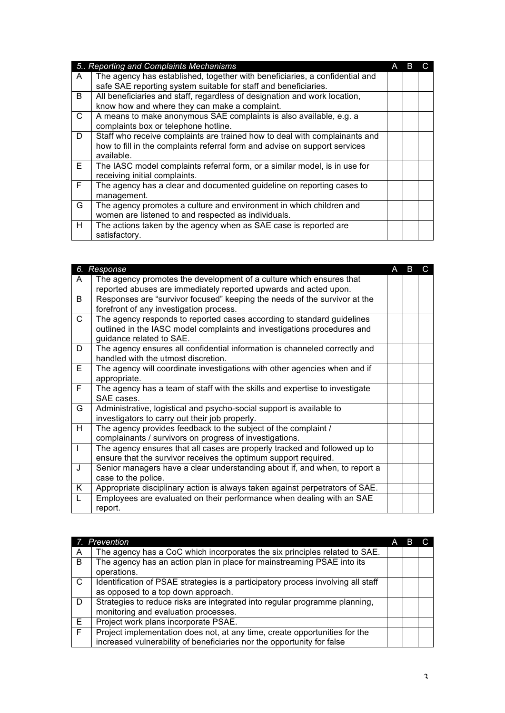|              | 5. Reporting and Complaints Mechanisms                                                                                                                                 |  |  |
|--------------|------------------------------------------------------------------------------------------------------------------------------------------------------------------------|--|--|
| A            | The agency has established, together with beneficiaries, a confidential and<br>safe SAE reporting system suitable for staff and beneficiaries.                         |  |  |
| B            | All beneficiaries and staff, regardless of designation and work location,<br>know how and where they can make a complaint.                                             |  |  |
| $\mathsf{C}$ | A means to make anonymous SAE complaints is also available, e.g. a<br>complaints box or telephone hotline.                                                             |  |  |
| D            | Staff who receive complaints are trained how to deal with complainants and<br>how to fill in the complaints referral form and advise on support services<br>available. |  |  |
| E.           | The IASC model complaints referral form, or a similar model, is in use for<br>receiving initial complaints.                                                            |  |  |
| F.           | The agency has a clear and documented guideline on reporting cases to<br>management.                                                                                   |  |  |
| G            | The agency promotes a culture and environment in which children and<br>women are listened to and respected as individuals.                                             |  |  |
| H.           | The actions taken by the agency when as SAE case is reported are<br>satisfactory.                                                                                      |  |  |

|              | 6. Response                                                                  | А | B | C |
|--------------|------------------------------------------------------------------------------|---|---|---|
| A            | The agency promotes the development of a culture which ensures that          |   |   |   |
|              | reported abuses are immediately reported upwards and acted upon.             |   |   |   |
| B            | Responses are "survivor focused" keeping the needs of the survivor at the    |   |   |   |
|              | forefront of any investigation process.                                      |   |   |   |
| $\mathsf{C}$ | The agency responds to reported cases according to standard guidelines       |   |   |   |
|              | outlined in the IASC model complaints and investigations procedures and      |   |   |   |
|              | guidance related to SAE.                                                     |   |   |   |
| D            | The agency ensures all confidential information is channeled correctly and   |   |   |   |
|              | handled with the utmost discretion.                                          |   |   |   |
| E.           | The agency will coordinate investigations with other agencies when and if    |   |   |   |
|              | appropriate.                                                                 |   |   |   |
| F            | The agency has a team of staff with the skills and expertise to investigate  |   |   |   |
|              | SAE cases.                                                                   |   |   |   |
| G            | Administrative, logistical and psycho-social support is available to         |   |   |   |
|              | investigators to carry out their job properly.                               |   |   |   |
| H            | The agency provides feedback to the subject of the complaint /               |   |   |   |
|              | complainants / survivors on progress of investigations.                      |   |   |   |
| $\mathbf{I}$ | The agency ensures that all cases are properly tracked and followed up to    |   |   |   |
|              | ensure that the survivor receives the optimum support required.              |   |   |   |
| J            | Senior managers have a clear understanding about if, and when, to report a   |   |   |   |
|              | case to the police.                                                          |   |   |   |
| K            | Appropriate disciplinary action is always taken against perpetrators of SAE. |   |   |   |
| L            | Employees are evaluated on their performance when dealing with an SAE        |   |   |   |
|              | report.                                                                      |   |   |   |

|    | 7. Prevention                                                                    |  |  |
|----|----------------------------------------------------------------------------------|--|--|
| A  | The agency has a CoC which incorporates the six principles related to SAE.       |  |  |
| B. | The agency has an action plan in place for mainstreaming PSAE into its           |  |  |
|    | operations.                                                                      |  |  |
| C  | Identification of PSAE strategies is a participatory process involving all staff |  |  |
|    | as opposed to a top down approach.                                               |  |  |
| D  | Strategies to reduce risks are integrated into regular programme planning,       |  |  |
|    | monitoring and evaluation processes.                                             |  |  |
| Е  | Project work plans incorporate PSAE.                                             |  |  |
| F. | Project implementation does not, at any time, create opportunities for the       |  |  |
|    | increased vulnerability of beneficiaries nor the opportunity for false           |  |  |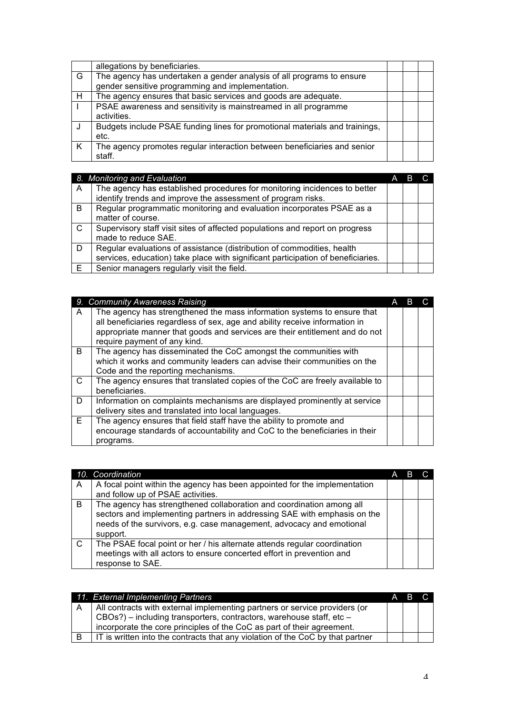|   | allegations by beneficiaries.                                               |  |  |
|---|-----------------------------------------------------------------------------|--|--|
| G | The agency has undertaken a gender analysis of all programs to ensure       |  |  |
|   | gender sensitive programming and implementation.                            |  |  |
| H | The agency ensures that basic services and goods are adequate.              |  |  |
|   | PSAE awareness and sensitivity is mainstreamed in all programme             |  |  |
|   | activities.                                                                 |  |  |
|   | Budgets include PSAE funding lines for promotional materials and trainings, |  |  |
|   | etc.                                                                        |  |  |
| K | The agency promotes regular interaction between beneficiaries and senior    |  |  |
|   | staff.                                                                      |  |  |

|    | 8. Monitoring and Evaluation                                                                                                                               | A | В |  |
|----|------------------------------------------------------------------------------------------------------------------------------------------------------------|---|---|--|
| A  | The agency has established procedures for monitoring incidences to better<br>identify trends and improve the assessment of program risks.                  |   |   |  |
| B. | Regular programmatic monitoring and evaluation incorporates PSAE as a<br>matter of course.                                                                 |   |   |  |
| C. | Supervisory staff visit sites of affected populations and report on progress<br>made to reduce SAE.                                                        |   |   |  |
| D  | Regular evaluations of assistance (distribution of commodities, health<br>services, education) take place with significant participation of beneficiaries. |   |   |  |
| E  | Senior managers regularly visit the field.                                                                                                                 |   |   |  |

|    | 9. Community Awareness Raising                                                                                                                                                                                                        | А |  |
|----|---------------------------------------------------------------------------------------------------------------------------------------------------------------------------------------------------------------------------------------|---|--|
| A  | The agency has strengthened the mass information systems to ensure that<br>all beneficiaries regardless of sex, age and ability receive information in<br>appropriate manner that goods and services are their entitlement and do not |   |  |
|    | require payment of any kind.                                                                                                                                                                                                          |   |  |
| B. | The agency has disseminated the CoC amongst the communities with<br>which it works and community leaders can advise their communities on the<br>Code and the reporting mechanisms.                                                    |   |  |
| C  | The agency ensures that translated copies of the CoC are freely available to<br>beneficiaries.                                                                                                                                        |   |  |
| D  | Information on complaints mechanisms are displayed prominently at service                                                                                                                                                             |   |  |
|    | delivery sites and translated into local languages.                                                                                                                                                                                   |   |  |
| E. | The agency ensures that field staff have the ability to promote and<br>encourage standards of accountability and CoC to the beneficiaries in their<br>programs.                                                                       |   |  |

|    | 10. Coordination                                                                                                                                                                                                                     | A |  |
|----|--------------------------------------------------------------------------------------------------------------------------------------------------------------------------------------------------------------------------------------|---|--|
| A  | A focal point within the agency has been appointed for the implementation                                                                                                                                                            |   |  |
|    | and follow up of PSAE activities.                                                                                                                                                                                                    |   |  |
| B  | The agency has strengthened collaboration and coordination among all<br>sectors and implementing partners in addressing SAE with emphasis on the<br>needs of the survivors, e.g. case management, advocacy and emotional<br>support. |   |  |
| C. | The PSAE focal point or her / his alternate attends regular coordination<br>meetings with all actors to ensure concerted effort in prevention and<br>response to SAE.                                                                |   |  |

|   | 11. External Implementing Partners                                             | A | B. |  |
|---|--------------------------------------------------------------------------------|---|----|--|
| A | All contracts with external implementing partners or service providers (or     |   |    |  |
|   | CBOs?) – including transporters, contractors, warehouse staff, etc –           |   |    |  |
|   | incorporate the core principles of the CoC as part of their agreement.         |   |    |  |
|   | IT is written into the contracts that any violation of the CoC by that partner |   |    |  |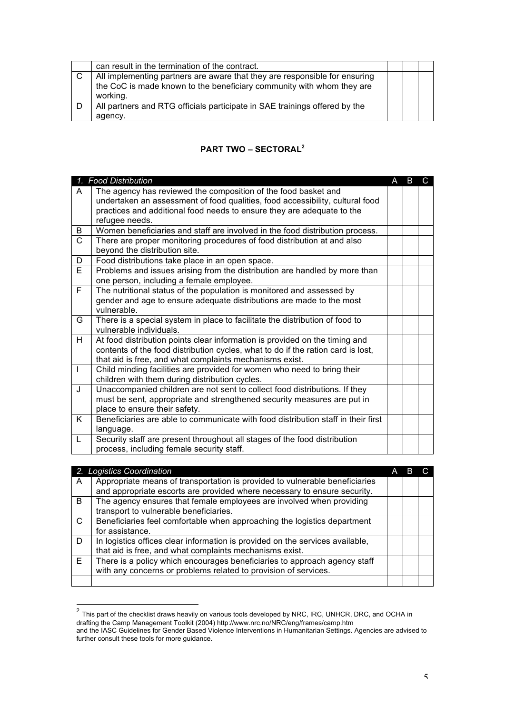| can result in the termination of the contract.                             |  |  |
|----------------------------------------------------------------------------|--|--|
| All implementing partners are aware that they are responsible for ensuring |  |  |
| the CoC is made known to the beneficiary community with whom they are      |  |  |
| working.                                                                   |  |  |
| All partners and RTG officials participate in SAE trainings offered by the |  |  |
| agency.                                                                    |  |  |

## **PART TWO – SECTORAL<sup>2</sup>**

|                | 1. Food Distribution                                                              | A | B | C. |
|----------------|-----------------------------------------------------------------------------------|---|---|----|
| A              | The agency has reviewed the composition of the food basket and                    |   |   |    |
|                | undertaken an assessment of food qualities, food accessibility, cultural food     |   |   |    |
|                | practices and additional food needs to ensure they are adequate to the            |   |   |    |
|                | refugee needs.                                                                    |   |   |    |
| B              | Women beneficiaries and staff are involved in the food distribution process.      |   |   |    |
| C              | There are proper monitoring procedures of food distribution at and also           |   |   |    |
|                | beyond the distribution site.                                                     |   |   |    |
| D              | Food distributions take place in an open space.                                   |   |   |    |
| Е              | Problems and issues arising from the distribution are handled by more than        |   |   |    |
|                | one person, including a female employee.                                          |   |   |    |
| $\overline{F}$ | The nutritional status of the population is monitored and assessed by             |   |   |    |
|                | gender and age to ensure adequate distributions are made to the most              |   |   |    |
|                | vulnerable.                                                                       |   |   |    |
| G              | There is a special system in place to facilitate the distribution of food to      |   |   |    |
|                | vulnerable individuals.                                                           |   |   |    |
| H.             | At food distribution points clear information is provided on the timing and       |   |   |    |
|                | contents of the food distribution cycles, what to do if the ration card is lost,  |   |   |    |
|                | that aid is free, and what complaints mechanisms exist.                           |   |   |    |
| $\mathbf{I}$   | Child minding facilities are provided for women who need to bring their           |   |   |    |
|                | children with them during distribution cycles.                                    |   |   |    |
| J              | Unaccompanied children are not sent to collect food distributions. If they        |   |   |    |
|                | must be sent, appropriate and strengthened security measures are put in           |   |   |    |
|                | place to ensure their safety.                                                     |   |   |    |
| K              | Beneficiaries are able to communicate with food distribution staff in their first |   |   |    |
|                | language.                                                                         |   |   |    |
| L              | Security staff are present throughout all stages of the food distribution         |   |   |    |
|                | process, including female security staff.                                         |   |   |    |

|    | 2. Logistics Coordination                                                     |  |  |
|----|-------------------------------------------------------------------------------|--|--|
| A  | Appropriate means of transportation is provided to vulnerable beneficiaries   |  |  |
|    | and appropriate escorts are provided where necessary to ensure security.      |  |  |
| B. | The agency ensures that female employees are involved when providing          |  |  |
|    | transport to vulnerable beneficiaries.                                        |  |  |
| C  | Beneficiaries feel comfortable when approaching the logistics department      |  |  |
|    | for assistance.                                                               |  |  |
| D  | In logistics offices clear information is provided on the services available, |  |  |
|    | that aid is free, and what complaints mechanisms exist.                       |  |  |
| E. | There is a policy which encourages beneficiaries to approach agency staff     |  |  |
|    | with any concerns or problems related to provision of services.               |  |  |
|    |                                                                               |  |  |

 $\frac{2}{100}$  This part of the checklist draws heavily on various tools developed by NRC, IRC, UNHCR, DRC, and OCHA in drafting the Camp Management Toolkit (2004) http://www.nrc.no/NRC/eng/frames/camp.htm

and the IASC Guidelines for Gender Based Violence Interventions in Humanitarian Settings. Agencies are advised to further consult these tools for more guidance.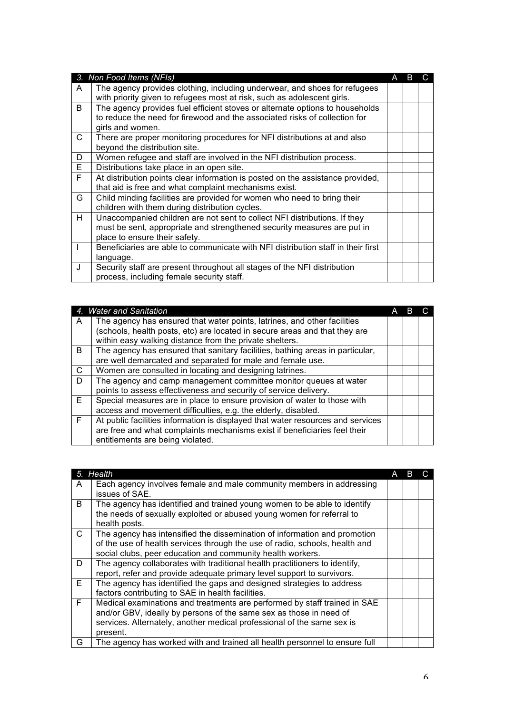|    | 3. Non Food Items (NFIs)                                                         | А | в |  |
|----|----------------------------------------------------------------------------------|---|---|--|
| A  | The agency provides clothing, including underwear, and shoes for refugees        |   |   |  |
|    | with priority given to refugees most at risk, such as adolescent girls.          |   |   |  |
| B  | The agency provides fuel efficient stoves or alternate options to households     |   |   |  |
|    | to reduce the need for firewood and the associated risks of collection for       |   |   |  |
|    | girls and women.                                                                 |   |   |  |
| C  | There are proper monitoring procedures for NFI distributions at and also         |   |   |  |
|    | beyond the distribution site.                                                    |   |   |  |
| D  | Women refugee and staff are involved in the NFI distribution process.            |   |   |  |
| E  | Distributions take place in an open site.                                        |   |   |  |
| F. | At distribution points clear information is posted on the assistance provided,   |   |   |  |
|    | that aid is free and what complaint mechanisms exist.                            |   |   |  |
| G  | Child minding facilities are provided for women who need to bring their          |   |   |  |
|    | children with them during distribution cycles.                                   |   |   |  |
| H. | Unaccompanied children are not sent to collect NFI distributions. If they        |   |   |  |
|    | must be sent, appropriate and strengthened security measures are put in          |   |   |  |
|    | place to ensure their safety.                                                    |   |   |  |
|    | Beneficiaries are able to communicate with NFI distribution staff in their first |   |   |  |
|    | language.                                                                        |   |   |  |
| J  | Security staff are present throughout all stages of the NFI distribution         |   |   |  |
|    | process, including female security staff.                                        |   |   |  |

|    | 4. Water and Sanitation                                                         | А |  |
|----|---------------------------------------------------------------------------------|---|--|
| A  | The agency has ensured that water points, latrines, and other facilities        |   |  |
|    | (schools, health posts, etc) are located in secure areas and that they are      |   |  |
|    | within easy walking distance from the private shelters.                         |   |  |
| B. | The agency has ensured that sanitary facilities, bathing areas in particular,   |   |  |
|    | are well demarcated and separated for male and female use.                      |   |  |
| C. | Women are consulted in locating and designing latrines.                         |   |  |
| D. | The agency and camp management committee monitor queues at water                |   |  |
|    | points to assess effectiveness and security of service delivery.                |   |  |
| E. | Special measures are in place to ensure provision of water to those with        |   |  |
|    | access and movement difficulties, e.g. the elderly, disabled.                   |   |  |
| F. | At public facilities information is displayed that water resources and services |   |  |
|    | are free and what complaints mechanisms exist if beneficiaries feel their       |   |  |
|    | entitlements are being violated.                                                |   |  |

|    | 5. Health                                                                   | A |  |
|----|-----------------------------------------------------------------------------|---|--|
| A  | Each agency involves female and male community members in addressing        |   |  |
|    | issues of SAE.                                                              |   |  |
| B  | The agency has identified and trained young women to be able to identify    |   |  |
|    | the needs of sexually exploited or abused young women for referral to       |   |  |
|    | health posts.                                                               |   |  |
| C  | The agency has intensified the dissemination of information and promotion   |   |  |
|    | of the use of health services through the use of radio, schools, health and |   |  |
|    | social clubs, peer education and community health workers.                  |   |  |
| D  | The agency collaborates with traditional health practitioners to identify,  |   |  |
|    | report, refer and provide adequate primary level support to survivors.      |   |  |
| E. | The agency has identified the gaps and designed strategies to address       |   |  |
|    | factors contributing to SAE in health facilities.                           |   |  |
| F. | Medical examinations and treatments are performed by staff trained in SAE   |   |  |
|    | and/or GBV, ideally by persons of the same sex as those in need of          |   |  |
|    | services. Alternately, another medical professional of the same sex is      |   |  |
|    | present.                                                                    |   |  |
| G  | The agency has worked with and trained all health personnel to ensure full  |   |  |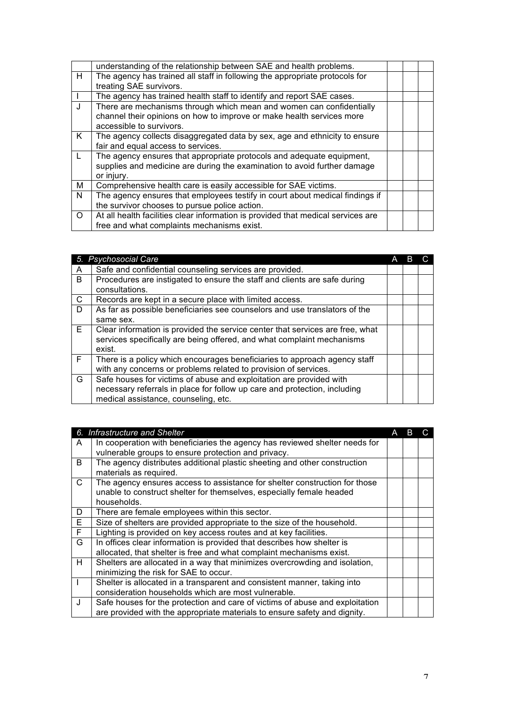|              | understanding of the relationship between SAE and health problems.               |  |  |
|--------------|----------------------------------------------------------------------------------|--|--|
| H            | The agency has trained all staff in following the appropriate protocols for      |  |  |
|              | treating SAE survivors.                                                          |  |  |
|              | The agency has trained health staff to identify and report SAE cases.            |  |  |
| J            | There are mechanisms through which mean and women can confidentially             |  |  |
|              | channel their opinions on how to improve or make health services more            |  |  |
|              | accessible to survivors.                                                         |  |  |
| K.           | The agency collects disaggregated data by sex, age and ethnicity to ensure       |  |  |
|              | fair and equal access to services.                                               |  |  |
| $\mathbf{L}$ | The agency ensures that appropriate protocols and adequate equipment,            |  |  |
|              | supplies and medicine are during the examination to avoid further damage         |  |  |
|              | or injury.                                                                       |  |  |
| м            | Comprehensive health care is easily accessible for SAE victims.                  |  |  |
| N            | The agency ensures that employees testify in court about medical findings if     |  |  |
|              | the survivor chooses to pursue police action.                                    |  |  |
| $\Omega$     | At all health facilities clear information is provided that medical services are |  |  |
|              | free and what complaints mechanisms exist.                                       |  |  |

|    | 5. Psychosocial Care                                                          |  |  |
|----|-------------------------------------------------------------------------------|--|--|
| A  | Safe and confidential counseling services are provided.                       |  |  |
| B. | Procedures are instigated to ensure the staff and clients are safe during     |  |  |
|    | consultations.                                                                |  |  |
| C  | Records are kept in a secure place with limited access.                       |  |  |
| D. | As far as possible beneficiaries see counselors and use translators of the    |  |  |
|    | same sex.                                                                     |  |  |
| E. | Clear information is provided the service center that services are free, what |  |  |
|    | services specifically are being offered, and what complaint mechanisms        |  |  |
|    | exist.                                                                        |  |  |
| F. | There is a policy which encourages beneficiaries to approach agency staff     |  |  |
|    | with any concerns or problems related to provision of services.               |  |  |
| G  | Safe houses for victims of abuse and exploitation are provided with           |  |  |
|    | necessary referrals in place for follow up care and protection, including     |  |  |
|    | medical assistance, counseling, etc.                                          |  |  |

|              | 6. Infrastructure and Shelter                                                |  |  |
|--------------|------------------------------------------------------------------------------|--|--|
| A            | In cooperation with beneficiaries the agency has reviewed shelter needs for  |  |  |
|              | vulnerable groups to ensure protection and privacy.                          |  |  |
| B.           | The agency distributes additional plastic sheeting and other construction    |  |  |
|              | materials as required.                                                       |  |  |
| C.           | The agency ensures access to assistance for shelter construction for those   |  |  |
|              | unable to construct shelter for themselves, especially female headed         |  |  |
|              | households.                                                                  |  |  |
| D            | There are female employees within this sector.                               |  |  |
| Е            | Size of shelters are provided appropriate to the size of the household.      |  |  |
| F.           | Lighting is provided on key access routes and at key facilities.             |  |  |
| G            | In offices clear information is provided that describes how shelter is       |  |  |
|              | allocated, that shelter is free and what complaint mechanisms exist.         |  |  |
| H            | Shelters are allocated in a way that minimizes overcrowding and isolation,   |  |  |
|              | minimizing the risk for SAE to occur.                                        |  |  |
|              | Shelter is allocated in a transparent and consistent manner, taking into     |  |  |
|              | consideration households which are most vulnerable.                          |  |  |
| $\mathbf{J}$ | Safe houses for the protection and care of victims of abuse and exploitation |  |  |
|              | are provided with the appropriate materials to ensure safety and dignity.    |  |  |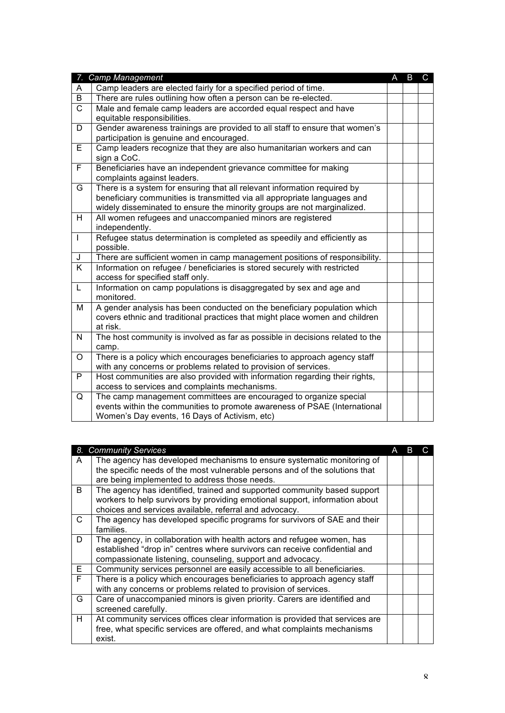|                         | 7. Camp Management                                                            | A | B | $\mathbf{C}$ |
|-------------------------|-------------------------------------------------------------------------------|---|---|--------------|
| A                       | Camp leaders are elected fairly for a specified period of time.               |   |   |              |
| $\overline{B}$          | There are rules outlining how often a person can be re-elected.               |   |   |              |
| $\overline{\text{c}}$   | Male and female camp leaders are accorded equal respect and have              |   |   |              |
|                         | equitable responsibilities.                                                   |   |   |              |
| D                       | Gender awareness trainings are provided to all staff to ensure that women's   |   |   |              |
|                         | participation is genuine and encouraged.                                      |   |   |              |
| E                       | Camp leaders recognize that they are also humanitarian workers and can        |   |   |              |
|                         | sign a CoC.                                                                   |   |   |              |
| $\overline{\mathsf{F}}$ | Beneficiaries have an independent grievance committee for making              |   |   |              |
|                         | complaints against leaders.                                                   |   |   |              |
| G                       | There is a system for ensuring that all relevant information required by      |   |   |              |
|                         | beneficiary communities is transmitted via all appropriate languages and      |   |   |              |
|                         | widely disseminated to ensure the minority groups are not marginalized.       |   |   |              |
| H                       | All women refugees and unaccompanied minors are registered<br>independently.  |   |   |              |
| $\mathbf{I}$            | Refugee status determination is completed as speedily and efficiently as      |   |   |              |
|                         | possible.                                                                     |   |   |              |
| J                       | There are sufficient women in camp management positions of responsibility.    |   |   |              |
| $\overline{\mathsf{K}}$ | Information on refugee / beneficiaries is stored securely with restricted     |   |   |              |
|                         | access for specified staff only.                                              |   |   |              |
| L                       | Information on camp populations is disaggregated by sex and age and           |   |   |              |
|                         | monitored.                                                                    |   |   |              |
| M                       | A gender analysis has been conducted on the beneficiary population which      |   |   |              |
|                         | covers ethnic and traditional practices that might place women and children   |   |   |              |
|                         | at risk.                                                                      |   |   |              |
| $\mathsf{N}$            | The host community is involved as far as possible in decisions related to the |   |   |              |
|                         | camp.                                                                         |   |   |              |
| $\circ$                 | There is a policy which encourages beneficiaries to approach agency staff     |   |   |              |
|                         | with any concerns or problems related to provision of services.               |   |   |              |
| P                       | Host communities are also provided with information regarding their rights,   |   |   |              |
|                         | access to services and complaints mechanisms.                                 |   |   |              |
| Q                       | The camp management committees are encouraged to organize special             |   |   |              |
|                         | events within the communities to promote awareness of PSAE (International     |   |   |              |
|                         | Women's Day events, 16 Days of Activism, etc)                                 |   |   |              |

| 8. | <b>Community Services</b>                                                     | A | B |  |
|----|-------------------------------------------------------------------------------|---|---|--|
| A  | The agency has developed mechanisms to ensure systematic monitoring of        |   |   |  |
|    | the specific needs of the most vulnerable persons and of the solutions that   |   |   |  |
|    | are being implemented to address those needs.                                 |   |   |  |
| B. | The agency has identified, trained and supported community based support      |   |   |  |
|    | workers to help survivors by providing emotional support, information about   |   |   |  |
|    | choices and services available, referral and advocacy.                        |   |   |  |
| C. | The agency has developed specific programs for survivors of SAE and their     |   |   |  |
|    | families.                                                                     |   |   |  |
| D  | The agency, in collaboration with health actors and refugee women, has        |   |   |  |
|    | established "drop in" centres where survivors can receive confidential and    |   |   |  |
|    | compassionate listening, counseling, support and advocacy.                    |   |   |  |
| E. | Community services personnel are easily accessible to all beneficiaries.      |   |   |  |
| F. | There is a policy which encourages beneficiaries to approach agency staff     |   |   |  |
|    | with any concerns or problems related to provision of services.               |   |   |  |
| G  | Care of unaccompanied minors is given priority. Carers are identified and     |   |   |  |
|    | screened carefully.                                                           |   |   |  |
| H  | At community services offices clear information is provided that services are |   |   |  |
|    | free, what specific services are offered, and what complaints mechanisms      |   |   |  |
|    | exist.                                                                        |   |   |  |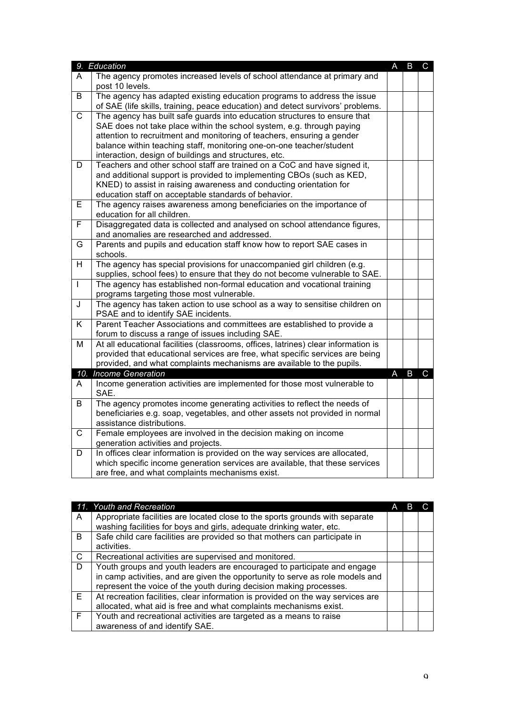|                         | 9. Education                                                                        | $\overline{A}$ | $\mathsf B$ | $\mathsf{C}$ |
|-------------------------|-------------------------------------------------------------------------------------|----------------|-------------|--------------|
| A                       | The agency promotes increased levels of school attendance at primary and            |                |             |              |
|                         | post 10 levels.                                                                     |                |             |              |
| B                       | The agency has adapted existing education programs to address the issue             |                |             |              |
|                         | of SAE (life skills, training, peace education) and detect survivors' problems.     |                |             |              |
| $\overline{C}$          | The agency has built safe guards into education structures to ensure that           |                |             |              |
|                         | SAE does not take place within the school system, e.g. through paying               |                |             |              |
|                         | attention to recruitment and monitoring of teachers, ensuring a gender              |                |             |              |
|                         | balance within teaching staff, monitoring one-on-one teacher/student                |                |             |              |
|                         | interaction, design of buildings and structures, etc.                               |                |             |              |
| D                       | Teachers and other school staff are trained on a CoC and have signed it,            |                |             |              |
|                         | and additional support is provided to implementing CBOs (such as KED,               |                |             |              |
|                         | KNED) to assist in raising awareness and conducting orientation for                 |                |             |              |
|                         | education staff on acceptable standards of behavior.                                |                |             |              |
| Е                       | The agency raises awareness among beneficiaries on the importance of                |                |             |              |
|                         | education for all children.                                                         |                |             |              |
| F                       | Disaggregated data is collected and analysed on school attendance figures,          |                |             |              |
|                         | and anomalies are researched and addressed.                                         |                |             |              |
| G                       | Parents and pupils and education staff know how to report SAE cases in              |                |             |              |
| $\overline{\mathsf{H}}$ | schools.<br>The agency has special provisions for unaccompanied girl children (e.g. |                |             |              |
|                         | supplies, school fees) to ensure that they do not become vulnerable to SAE.         |                |             |              |
| $\mathsf{I}$            | The agency has established non-formal education and vocational training             |                |             |              |
|                         | programs targeting those most vulnerable.                                           |                |             |              |
| J                       | The agency has taken action to use school as a way to sensitise children on         |                |             |              |
|                         | PSAE and to identify SAE incidents.                                                 |                |             |              |
| K                       | Parent Teacher Associations and committees are established to provide a             |                |             |              |
|                         | forum to discuss a range of issues including SAE.                                   |                |             |              |
| M                       | At all educational facilities (classrooms, offices, latrines) clear information is  |                |             |              |
|                         | provided that educational services are free, what specific services are being       |                |             |              |
|                         | provided, and what complaints mechanisms are available to the pupils.               |                |             |              |
| 10.                     | <b>Income Generation</b>                                                            | A              | B           | $\mathsf{C}$ |
| A                       | Income generation activities are implemented for those most vulnerable to           |                |             |              |
|                         | SAE.                                                                                |                |             |              |
| B                       | The agency promotes income generating activities to reflect the needs of            |                |             |              |
|                         | beneficiaries e.g. soap, vegetables, and other assets not provided in normal        |                |             |              |
|                         | assistance distributions.                                                           |                |             |              |
| $\mathsf C$             | Female employees are involved in the decision making on income                      |                |             |              |
|                         | generation activities and projects.                                                 |                |             |              |
| D                       | In offices clear information is provided on the way services are allocated,         |                |             |              |
|                         | which specific income generation services are available, that these services        |                |             |              |
|                         | are free, and what complaints mechanisms exist.                                     |                |             |              |

|    | 11. Youth and Recreation                                                        |  |  |
|----|---------------------------------------------------------------------------------|--|--|
| A  | Appropriate facilities are located close to the sports grounds with separate    |  |  |
|    | washing facilities for boys and girls, adequate drinking water, etc.            |  |  |
| B. | Safe child care facilities are provided so that mothers can participate in      |  |  |
|    | activities.                                                                     |  |  |
| C  | Recreational activities are supervised and monitored.                           |  |  |
| D. | Youth groups and youth leaders are encouraged to participate and engage         |  |  |
|    | in camp activities, and are given the opportunity to serve as role models and   |  |  |
|    | represent the voice of the youth during decision making processes.              |  |  |
| E. | At recreation facilities, clear information is provided on the way services are |  |  |
|    | allocated, what aid is free and what complaints mechanisms exist.               |  |  |
| F. | Youth and recreational activities are targeted as a means to raise              |  |  |
|    | awareness of and identify SAE.                                                  |  |  |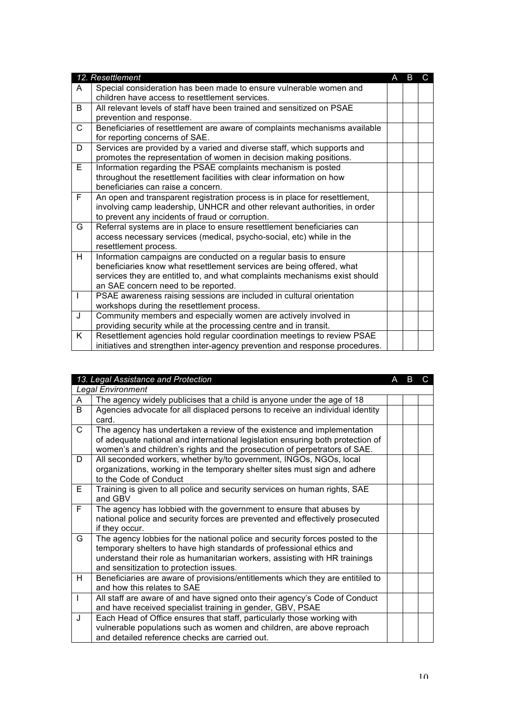|    | 12. Resettlement                                                            | А | B | C |
|----|-----------------------------------------------------------------------------|---|---|---|
| A  | Special consideration has been made to ensure vulnerable women and          |   |   |   |
|    | children have access to resettlement services.                              |   |   |   |
| B  | All relevant levels of staff have been trained and sensitized on PSAE       |   |   |   |
|    | prevention and response.                                                    |   |   |   |
| C  | Beneficiaries of resettlement are aware of complaints mechanisms available  |   |   |   |
|    | for reporting concerns of SAE.                                              |   |   |   |
| D  | Services are provided by a varied and diverse staff, which supports and     |   |   |   |
|    | promotes the representation of women in decision making positions.          |   |   |   |
| E. | Information regarding the PSAE complaints mechanism is posted               |   |   |   |
|    | throughout the resettlement facilities with clear information on how        |   |   |   |
|    | beneficiaries can raise a concern.                                          |   |   |   |
| F. | An open and transparent registration process is in place for resettlement,  |   |   |   |
|    | involving camp leadership, UNHCR and other relevant authorities, in order   |   |   |   |
|    | to prevent any incidents of fraud or corruption.                            |   |   |   |
| G  | Referral systems are in place to ensure resettlement beneficiaries can      |   |   |   |
|    | access necessary services (medical, psycho-social, etc) while in the        |   |   |   |
|    | resettlement process.                                                       |   |   |   |
| H. | Information campaigns are conducted on a regular basis to ensure            |   |   |   |
|    | beneficiaries know what resettlement services are being offered, what       |   |   |   |
|    | services they are entitled to, and what complaints mechanisms exist should  |   |   |   |
|    | an SAE concern need to be reported.                                         |   |   |   |
| T  | PSAE awareness raising sessions are included in cultural orientation        |   |   |   |
|    | workshops during the resettlement process.                                  |   |   |   |
| J  | Community members and especially women are actively involved in             |   |   |   |
|    | providing security while at the processing centre and in transit.           |   |   |   |
| K  | Resettlement agencies hold regular coordination meetings to review PSAE     |   |   |   |
|    | initiatives and strengthen inter-agency prevention and response procedures. |   |   |   |

|                          | 13. Legal Assistance and Protection                                                                                       | А | B. |  |
|--------------------------|---------------------------------------------------------------------------------------------------------------------------|---|----|--|
| <b>Legal Environment</b> |                                                                                                                           |   |    |  |
| A                        | The agency widely publicises that a child is anyone under the age of 18                                                   |   |    |  |
| B                        | Agencies advocate for all displaced persons to receive an individual identity                                             |   |    |  |
|                          | card.                                                                                                                     |   |    |  |
| $\mathsf{C}$             | The agency has undertaken a review of the existence and implementation                                                    |   |    |  |
|                          | of adequate national and international legislation ensuring both protection of                                            |   |    |  |
|                          | women's and children's rights and the prosecution of perpetrators of SAE.                                                 |   |    |  |
| D.                       | All seconded workers, whether by/to government, INGOs, NGOs, local                                                        |   |    |  |
|                          | organizations, working in the temporary shelter sites must sign and adhere                                                |   |    |  |
|                          | to the Code of Conduct                                                                                                    |   |    |  |
| E.                       | Training is given to all police and security services on human rights, SAE                                                |   |    |  |
|                          | and GBV                                                                                                                   |   |    |  |
| F.                       | The agency has lobbied with the government to ensure that abuses by                                                       |   |    |  |
|                          | national police and security forces are prevented and effectively prosecuted                                              |   |    |  |
|                          | if they occur.                                                                                                            |   |    |  |
| G                        | The agency lobbies for the national police and security forces posted to the                                              |   |    |  |
|                          | temporary shelters to have high standards of professional ethics and                                                      |   |    |  |
|                          | understand their role as humanitarian workers, assisting with HR trainings                                                |   |    |  |
| H                        | and sensitization to protection issues.<br>Beneficiaries are aware of provisions/entitlements which they are entitiled to |   |    |  |
|                          | and how this relates to SAE                                                                                               |   |    |  |
| $\mathbf{I}$             | All staff are aware of and have signed onto their agency's Code of Conduct                                                |   |    |  |
|                          | and have received specialist training in gender, GBV, PSAE                                                                |   |    |  |
| J.                       | Each Head of Office ensures that staff, particularly those working with                                                   |   |    |  |
|                          | vulnerable populations such as women and children, are above reproach                                                     |   |    |  |
|                          | and detailed reference checks are carried out.                                                                            |   |    |  |
|                          |                                                                                                                           |   |    |  |